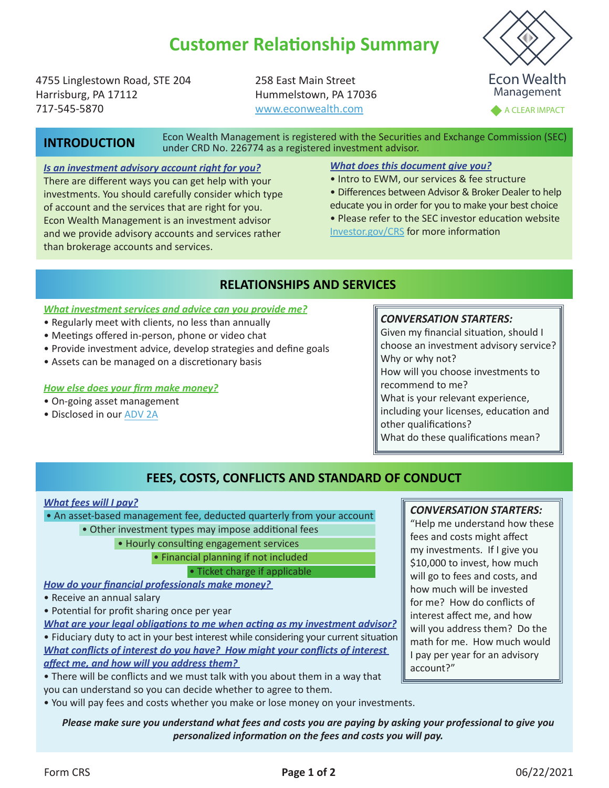# **Customer Relationship Summary**

4755 Linglestown Road, STE 204 Harrisburg, PA 17112 717-545-5870

258 East Main Street Hummelstown, PA 17036 [www.econwealth.com](https://www.econwealth.com)

Econ Wealth Management

A CLEAR IMPACT

# **INTRODUCTION**

Econ Wealth Management is registered with the Securities and Exchange Commission (SEC) under CRD No. 226774 as a registered investment advisor.

### *Is an investment advisory account right for you?*

There are different ways you can get help with your investments. You should carefully consider which type of account and the services that are right for you. Econ Wealth Management is an investment advisor and we provide advisory accounts and services rather than brokerage accounts and services.

### *What does this document give you?*

- Intro to EWM, our services & fee structure
- Differences between Advisor & Broker Dealer to help educate you in order for you to make your best choice

• Please refer to the SEC investor education website [Investor.gov/CRS](http://investor.gov/CRS) for more information

## **RELATIONSHIPS AND SERVICES**

#### *What investment services and advice can you provide me?*

- Regularly meet with clients, no less than annually
- Meetings offered in-person, phone or video chat
- Provide investment advice, develop strategies and define goals
- Assets can be managed on a discretionary basis

#### *How else does your firm make money?*

- On-going asset management
- Disclosed in our [ADV 2A](https://2c345fa3-30a8-4084-b7d4-55198dd50a28.filesusr.com/ugd/68f103_40a5ba7a96fb4de296baa88939c9bb51.pdf)

#### *CONVERSATION STARTERS:*

Given my financial situation, should I choose an investment advisory service? Why or why not? How will you choose investments to recommend to me? What is your relevant experience, including your licenses, education and other qualifications?

What do these qualifications mean?

# **FEES, COSTS, CONFLICTS AND STANDARD OF CONDUCT**

#### *What fees will I pay?*

• An asset-based management fee, deducted quarterly from your account

- Other investment types may impose additional fees
	- Hourly consulting engagement services

• Financial planning if not included

• Ticket charge if applicable

*How do your financial professionals make money?* 

- Receive an annual salary
- Potential for profit sharing once per year

*What are your legal obligations to me when acting as my investment advisor?* • Fiduciary duty to act in your best interest while considering your current situation *What conflicts of interest do you have? How might your conflicts of interest affect me, and how will you address them?*

• There will be conflicts and we must talk with you about them in a way that you can understand so you can decide whether to agree to them.

• You will pay fees and costs whether you make or lose money on your investments.

### *Please make sure you understand what fees and costs you are paying by asking your professional to give you personalized information on the fees and costs you will pay.*

### *CONVERSATION STARTERS:*

"Help me understand how these fees and costs might affect my investments. If I give you \$10,000 to invest, how much will go to fees and costs, and how much will be invested for me? How do conflicts of interest affect me, and how will you address them? Do the math for me. How much would I pay per year for an advisory account?"